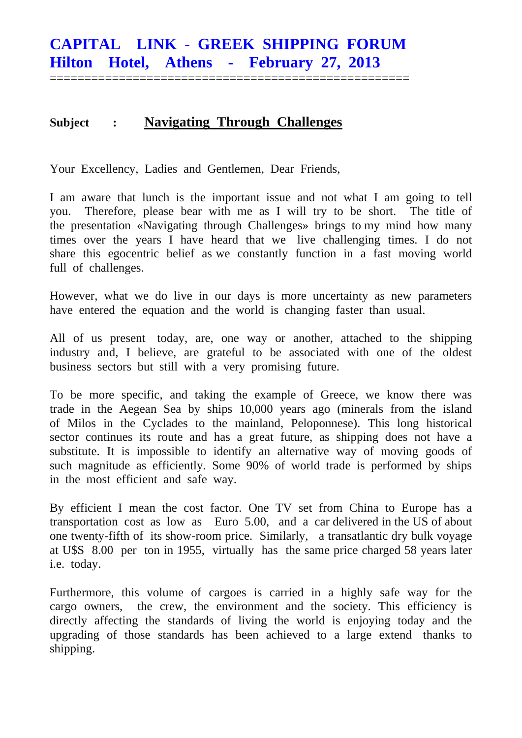====================================================

## **Subject : Navigating Through Challenges**

Your Excellency, Ladies and Gentlemen, Dear Friends,

I am aware that lunch is the important issue and not what I am going to tell you. Therefore, please bear with me as I will try to be short. The title of the presentation «Navigating through Challenges» brings to my mind how many times over the years I have heard that we live challenging times. I do not share this egocentric belief as we constantly function in a fast moving world full of challenges.

However, what we do live in our days is more uncertainty as new parameters have entered the equation and the world is changing faster than usual.

All of us present today, are, one way or another, attached to the shipping industry and, I believe, are grateful to be associated with one of the oldest business sectors but still with a very promising future.

To be more specific, and taking the example of Greece, we know there was trade in the Aegean Sea by ships 10,000 years ago (minerals from the island of Milos in the Cyclades to the mainland, Peloponnese). This long historical sector continues its route and has a great future, as shipping does not have a substitute. It is impossible to identify an alternative way of moving goods of such magnitude as efficiently. Some 90% of world trade is performed by ships in the most efficient and safe way.

By efficient I mean the cost factor. One TV set from China to Europe has a transportation cost as low as Euro 5.00, and a car delivered in the US of about one twenty-fifth of its show-room price. Similarly, a transatlantic dry bulk voyage at U\$S 8.00 per ton in 1955, virtually has the same price charged 58 years later i.e. today.

Furthermore, this volume of cargoes is carried in a highly safe way for the cargo owners, the crew, the environment and the society. This efficiency is directly affecting the standards of living the world is enjoying today and the upgrading of those standards has been achieved to a large extend thanks to shipping.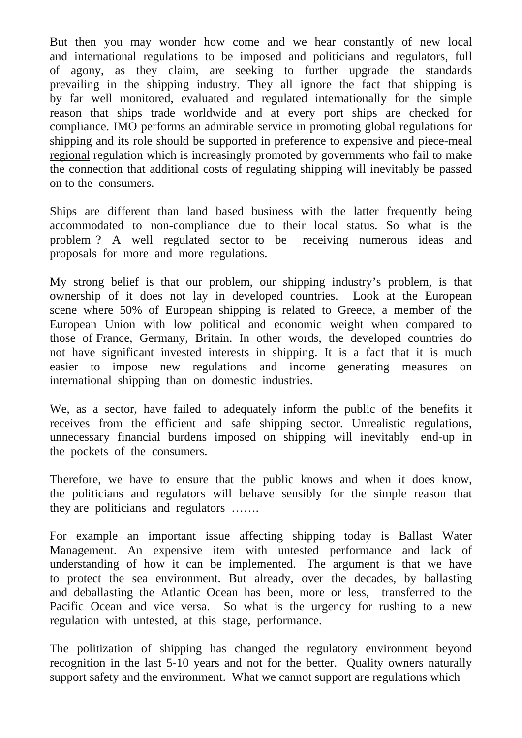But then you may wonder how come and we hear constantly of new local and international regulations to be imposed and politicians and regulators, full of agony, as they claim, are seeking to further upgrade the standards prevailing in the shipping industry. They all ignore the fact that shipping is by far well monitored, evaluated and regulated internationally for the simple reason that ships trade worldwide and at every port ships are checked for compliance. IMO performs an admirable service in promoting global regulations for shipping and its role should be supported in preference to expensive and piece-meal regional regulation which is increasingly promoted by governments who fail to make the connection that additional costs of regulating shipping will inevitably be passed on to the consumers.

Ships are different than land based business with the latter frequently being accommodated to non-compliance due to their local status. So what is the problem ? A well regulated sector to be receiving numerous ideas and proposals for more and more regulations.

My strong belief is that our problem, our shipping industry's problem, is that ownership of it does not lay in developed countries. Look at the European scene where 50% of European shipping is related to Greece, a member of the European Union with low political and economic weight when compared to those of France, Germany, Britain. In other words, the developed countries do not have significant invested interests in shipping. It is a fact that it is much easier to impose new regulations and income generating measures on international shipping than on domestic industries.

We, as a sector, have failed to adequately inform the public of the benefits it receives from the efficient and safe shipping sector. Unrealistic regulations, unnecessary financial burdens imposed on shipping will inevitably end-up in the pockets of the consumers.

Therefore, we have to ensure that the public knows and when it does know, the politicians and regulators will behave sensibly for the simple reason that they are politicians and regulators …….

For example an important issue affecting shipping today is Ballast Water Management. An expensive item with untested performance and lack of understanding of how it can be implemented. The argument is that we have to protect the sea environment. But already, over the decades, by ballasting and deballasting the Atlantic Ocean has been, more or less, transferred to the Pacific Ocean and vice versa. So what is the urgency for rushing to a new regulation with untested, at this stage, performance.

The politization of shipping has changed the regulatory environment beyond recognition in the last 5-10 years and not for the better. Quality owners naturally support safety and the environment. What we cannot support are regulations which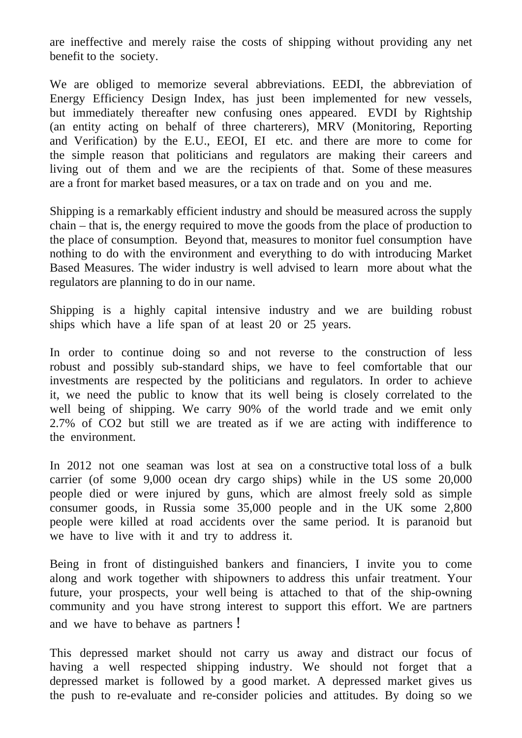are ineffective and merely raise the costs of shipping without providing any net benefit to the society.

We are obliged to memorize several abbreviations. EEDI, the abbreviation of Energy Efficiency Design Index, has just been implemented for new vessels, but immediately thereafter new confusing ones appeared. EVDI by Rightship (an entity acting on behalf of three charterers), MRV (Monitoring, Reporting and Verification) by the E.U., EEOI, EI etc. and there are more to come for the simple reason that politicians and regulators are making their careers and living out of them and we are the recipients of that. Some of these measures are a front for market based measures, or a tax on trade and on you and me.

Shipping is a remarkably efficient industry and should be measured across the supply chain – that is, the energy required to move the goods from the place of production to the place of consumption. Beyond that, measures to monitor fuel consumption have nothing to do with the environment and everything to do with introducing Market Based Measures. The wider industry is well advised to learn more about what the regulators are planning to do in our name.

Shipping is a highly capital intensive industry and we are building robust ships which have a life span of at least 20 or 25 years.

In order to continue doing so and not reverse to the construction of less robust and possibly sub-standard ships, we have to feel comfortable that our investments are respected by the politicians and regulators. In order to achieve it, we need the public to know that its well being is closely correlated to the well being of shipping. We carry 90% of the world trade and we emit only 2.7% of CO2 but still we are treated as if we are acting with indifference to the environment.

In 2012 not one seaman was lost at sea on a constructive total loss of a bulk carrier (of some 9,000 ocean dry cargo ships) while in the US some 20,000 people died or were injured by guns, which are almost freely sold as simple consumer goods, in Russia some 35,000 people and in the UK some 2,800 people were killed at road accidents over the same period. It is paranoid but we have to live with it and try to address it.

Being in front of distinguished bankers and financiers, I invite you to come along and work together with shipowners to address this unfair treatment. Your future, your prospects, your well being is attached to that of the ship-owning community and you have strong interest to support this effort. We are partners and we have to behave as partners !

This depressed market should not carry us away and distract our focus of having a well respected shipping industry. We should not forget that a depressed market is followed by a good market. A depressed market gives us the push to re-evaluate and re-consider policies and attitudes. By doing so we